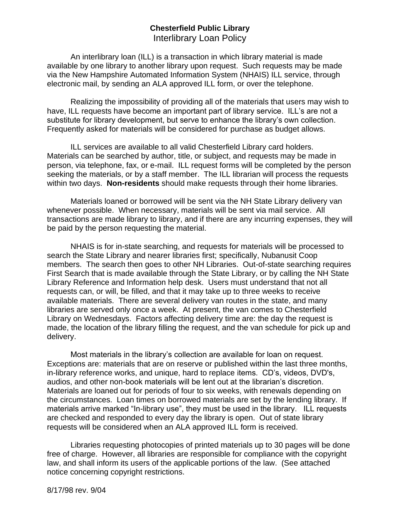## **Chesterfield Public Library** Interlibrary Loan Policy

An interlibrary loan (ILL) is a transaction in which library material is made available by one library to another library upon request. Such requests may be made via the New Hampshire Automated Information System (NHAIS) ILL service, through electronic mail, by sending an ALA approved ILL form, or over the telephone.

Realizing the impossibility of providing all of the materials that users may wish to have, ILL requests have become an important part of library service. ILL's are not a substitute for library development, but serve to enhance the library's own collection. Frequently asked for materials will be considered for purchase as budget allows.

ILL services are available to all valid Chesterfield Library card holders. Materials can be searched by author, title, or subject, and requests may be made in person, via telephone, fax, or e-mail. ILL request forms will be completed by the person seeking the materials, or by a staff member. The ILL librarian will process the requests within two days. **Non-residents** should make requests through their home libraries.

Materials loaned or borrowed will be sent via the NH State Library delivery van whenever possible. When necessary, materials will be sent via mail service. All transactions are made library to library, and if there are any incurring expenses, they will be paid by the person requesting the material.

NHAIS is for in-state searching, and requests for materials will be processed to search the State Library and nearer libraries first; specifically, Nubanusit Coop members. The search then goes to other NH Libraries. Out-of-state searching requires First Search that is made available through the State Library, or by calling the NH State Library Reference and Information help desk. Users must understand that not all requests can, or will, be filled, and that it may take up to three weeks to receive available materials. There are several delivery van routes in the state, and many libraries are served only once a week. At present, the van comes to Chesterfield Library on Wednesdays. Factors affecting delivery time are: the day the request is made, the location of the library filling the request, and the van schedule for pick up and delivery.

Most materials in the library's collection are available for loan on request. Exceptions are: materials that are on reserve or published within the last three months, in-library reference works, and unique, hard to replace items. CD's, videos, DVD's, audios, and other non-book materials will be lent out at the librarian's discretion. Materials are loaned out for periods of four to six weeks, with renewals depending on the circumstances. Loan times on borrowed materials are set by the lending library. If materials arrive marked "In-library use", they must be used in the library. ILL requests are checked and responded to every day the library is open. Out of state library requests will be considered when an ALA approved ILL form is received.

Libraries requesting photocopies of printed materials up to 30 pages will be done free of charge. However, all libraries are responsible for compliance with the copyright law, and shall inform its users of the applicable portions of the law. (See attached notice concerning copyright restrictions.